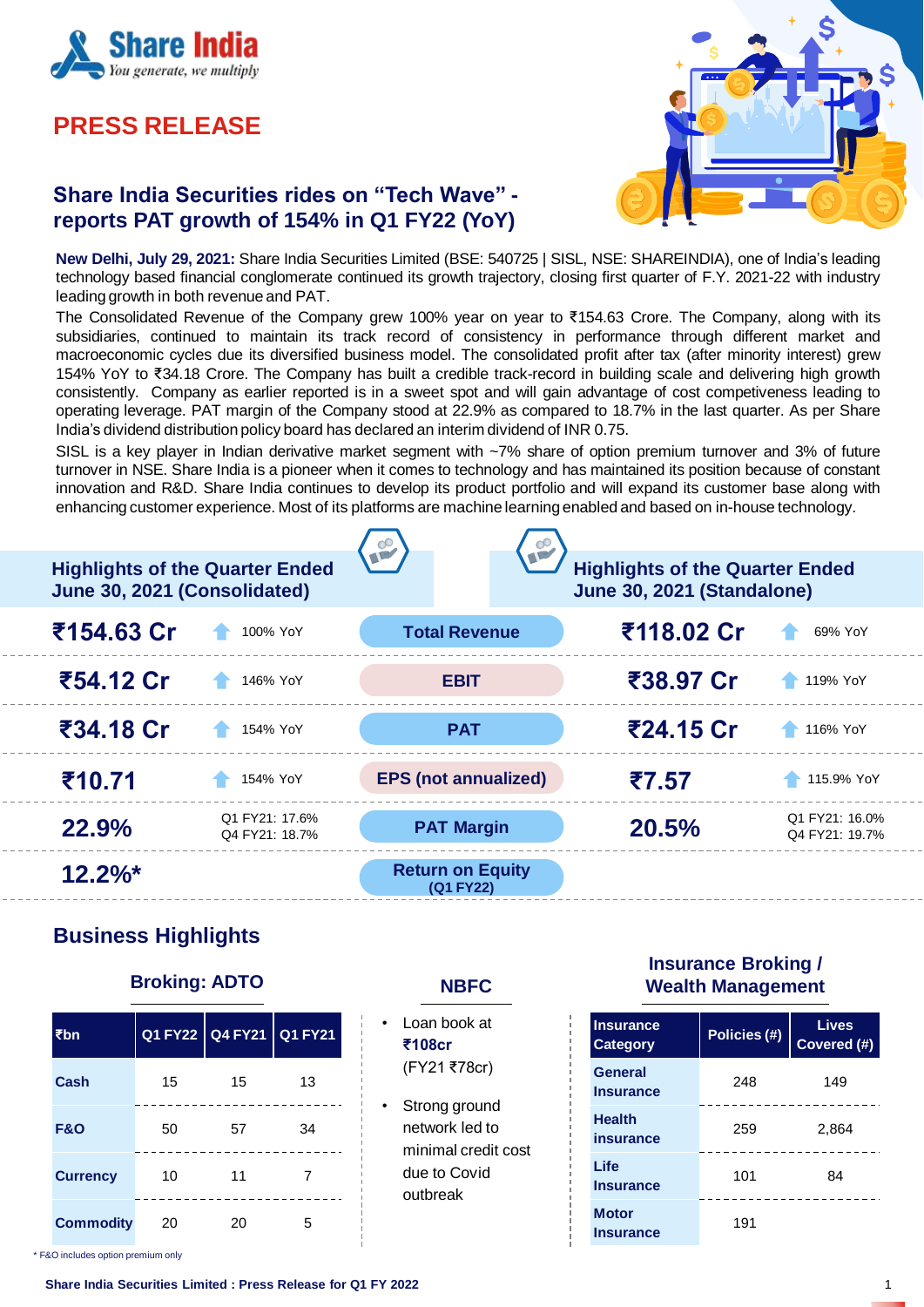

# **PRESS RELEASE**

# **Share India Securities rides on "Tech Wave" reports PAT growth of 154% in Q1 FY22 (YoY)**

**New Delhi, July 29, 2021:** Share India Securities Limited (BSE: 540725 | SISL, NSE: SHAREINDIA), one of India's leading technology based financial conglomerate continued its growth trajectory, closing first quarter of F.Y. 2021-22 with industry leading growth in both revenue and PAT.

The Consolidated Revenue of the Company grew 100% year on year to ₹154.63 Crore. The Company, along with its subsidiaries, continued to maintain its track record of consistency in performance through different market and macroeconomic cycles due its diversified business model. The consolidated profit after tax (after minority interest) grew 154% YoY to ₹34.18 Crore. The Company has built a credible track-record in building scale and delivering high growth consistently. Company as earlier reported is in a sweet spot and will gain advantage of cost competiveness leading to operating leverage. PAT margin of the Company stood at 22.9% as compared to 18.7% in the last quarter. As per Share India's dividend distribution policy board has declared an interim dividend of INR 0.75.

SISL is a key player in Indian derivative market segment with ~7% share of option premium turnover and 3% of future turnover in NSE. Share India is a pioneer when it comes to technology and has maintained its position because of constant innovation and R&D. Share India continues to develop its product portfolio and will expand its customer base along with enhancing customer experience. Most of its platforms are machine learning enabled and based on in-house technology.

|                                                                        |                                  |                                      | <b>IF</b> |                                                                      |                                  |
|------------------------------------------------------------------------|----------------------------------|--------------------------------------|-----------|----------------------------------------------------------------------|----------------------------------|
| <b>Highlights of the Quarter Ended</b><br>June 30, 2021 (Consolidated) |                                  | 1 <sup>60</sup>                      |           | <b>Highlights of the Quarter Ended</b><br>June 30, 2021 (Standalone) |                                  |
| ₹154.63 Cr                                                             | 100% YoY                         | <b>Total Revenue</b>                 |           | ₹118.02 Cr                                                           | 69% YoY                          |
| ₹54.12 Cr                                                              | 146% YoY                         | <b>EBIT</b>                          |           | ₹38.97 Cr                                                            | 119% YoY                         |
| ₹34.18 Cr                                                              | 154% YoY                         | <b>PAT</b>                           |           | ₹24.15 Cr                                                            | 116% YoY                         |
| ₹10.71                                                                 | 154% YoY                         | <b>EPS (not annualized)</b>          |           | ₹7.57                                                                | 115.9% YoY                       |
| 22.9%                                                                  | Q1 FY21: 17.6%<br>Q4 FY21: 18.7% | <b>PAT Margin</b>                    |           | 20.5%                                                                | Q1 FY21: 16.0%<br>Q4 FY21: 19.7% |
| $12.2\%$ <sup>*</sup>                                                  |                                  | <b>Return on Equity</b><br>(Q1 FY22) |           |                                                                      |                                  |

# **Business Highlights**

| l₹bn             |    | Q1 FY22 Q4 FY21 | <b>Q1 FY21</b> |
|------------------|----|-----------------|----------------|
| Cash             | 15 | 15              | 13             |
| <b>F&amp;O</b>   | 50 | 57              | 34             |
| <b>Currency</b>  | 10 | 11              | 7              |
| <b>Commodity</b> | 20 | 20              | 5              |

# **NBFC**

- Loan book at **₹108cr** (FY21 ₹78cr)
- Strong ground network led to minimal credit cost due to Covid outbreak

# **Insurance Broking / Broking: ADTO NBFC Wealth Management**

| <b>Insurance</b><br><b>Category</b> | Policies (#) | <b>Lives</b><br>Covered (#) |
|-------------------------------------|--------------|-----------------------------|
| General<br><b>Insurance</b>         | 248          | 149                         |
| <b>Health</b><br>insurance          | 259          | 2,864                       |
| Life<br><b>Insurance</b>            | 101          | 84                          |
| <b>Motor</b><br><b>Insurance</b>    | 191          |                             |

\* F&O includes option premium only